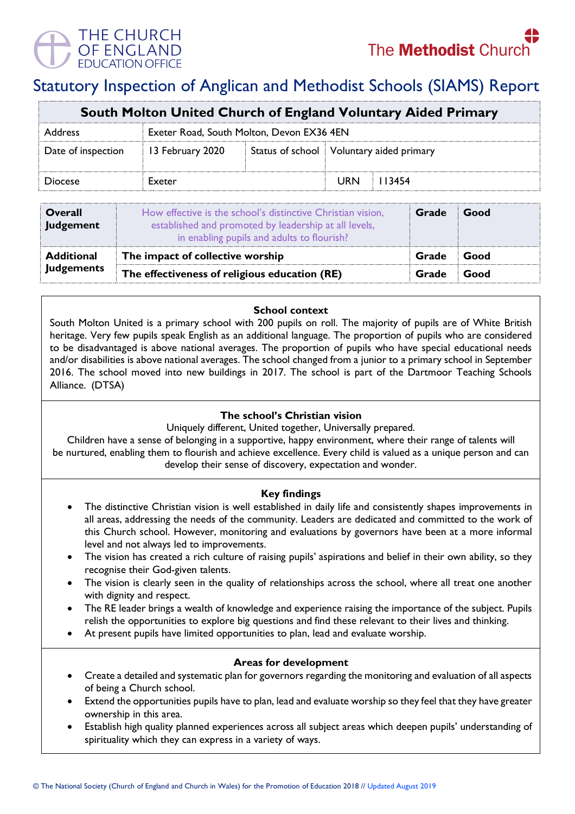THE CHURCH OF ENGLAND

# Statutory Inspection of Anglican and Methodist Schools (SIAMS) Report

| South Molton United Church of England Voluntary Aided Primary |                                           |  |                                          |        |  |  |
|---------------------------------------------------------------|-------------------------------------------|--|------------------------------------------|--------|--|--|
| Address                                                       | Exeter Road, South Molton, Devon EX36 4EN |  |                                          |        |  |  |
| Date of inspection                                            | 13 February 2020                          |  | Status of school Voluntary aided primary |        |  |  |
| Diocese                                                       | Exeter                                    |  | URN                                      | 113454 |  |  |

| Overall<br>Judgement | How effective is the school's distinctive Christian vision,<br>established and promoted by leadership at all levels,<br>in enabling pupils and adults to flourish? | Grade | <b>Good</b> |
|----------------------|--------------------------------------------------------------------------------------------------------------------------------------------------------------------|-------|-------------|
| Additional           | The impact of collective worship                                                                                                                                   | Grade | ⊟Good       |
| <b>Judgements</b>    | The effectiveness of religious education (RE)                                                                                                                      |       | Good        |

## **School context**

South Molton United is a primary school with 200 pupils on roll. The majority of pupils are of White British heritage. Very few pupils speak English as an additional language. The proportion of pupils who are considered to be disadvantaged is above national averages. The proportion of pupils who have special educational needs and/or disabilities is above national averages. The school changed from a junior to a primary school in September 2016. The school moved into new buildings in 2017. The school is part of the Dartmoor Teaching Schools Alliance. (DTSA)

## **The school's Christian vision**

Uniquely different, United together, Universally prepared.

Children have a sense of belonging in a supportive, happy environment, where their range of talents will be nurtured, enabling them to flourish and achieve excellence. Every child is valued as a unique person and can develop their sense of discovery, expectation and wonder.

#### **Key findings**

- The distinctive Christian vision is well established in daily life and consistently shapes improvements in all areas, addressing the needs of the community. Leaders are dedicated and committed to the work of this Church school. However, monitoring and evaluations by governors have been at a more informal level and not always led to improvements.
- The vision has created a rich culture of raising pupils' aspirations and belief in their own ability, so they recognise their God-given talents.
- The vision is clearly seen in the quality of relationships across the school, where all treat one another with dignity and respect.
- The RE leader brings a wealth of knowledge and experience raising the importance of the subject. Pupils relish the opportunities to explore big questions and find these relevant to their lives and thinking.
- At present pupils have limited opportunities to plan, lead and evaluate worship.

#### **Areas for development**

- Create a detailed and systematic plan for governors regarding the monitoring and evaluation of all aspects of being a Church school.
- Extend the opportunities pupils have to plan, lead and evaluate worship so they feel that they have greater ownership in this area.
- Establish high quality planned experiences across all subject areas which deepen pupils' understanding of spirituality which they can express in a variety of ways.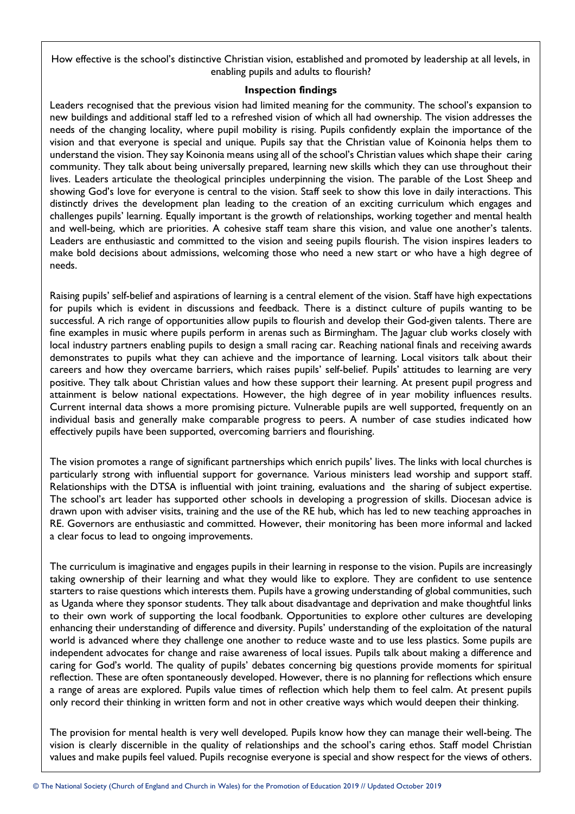How effective is the school's distinctive Christian vision, established and promoted by leadership at all levels, in enabling pupils and adults to flourish?

#### **Inspection findings**

Leaders recognised that the previous vision had limited meaning for the community. The school's expansion to new buildings and additional staff led to a refreshed vision of which all had ownership. The vision addresses the needs of the changing locality, where pupil mobility is rising. Pupils confidently explain the importance of the vision and that everyone is special and unique. Pupils say that the Christian value of Koinonia helps them to understand the vision. They say Koinonia means using all of the school's Christian values which shape their caring community. They talk about being universally prepared, learning new skills which they can use throughout their lives. Leaders articulate the theological principles underpinning the vision. The parable of the Lost Sheep and showing God's love for everyone is central to the vision. Staff seek to show this love in daily interactions. This distinctly drives the development plan leading to the creation of an exciting curriculum which engages and challenges pupils' learning. Equally important is the growth of relationships, working together and mental health and well-being, which are priorities. A cohesive staff team share this vision, and value one another's talents. Leaders are enthusiastic and committed to the vision and seeing pupils flourish. The vision inspires leaders to make bold decisions about admissions, welcoming those who need a new start or who have a high degree of needs.

Raising pupils' self-belief and aspirations of learning is a central element of the vision. Staff have high expectations for pupils which is evident in discussions and feedback. There is a distinct culture of pupils wanting to be successful. A rich range of opportunities allow pupils to flourish and develop their God-given talents. There are fine examples in music where pupils perform in arenas such as Birmingham. The Jaguar club works closely with local industry partners enabling pupils to design a small racing car. Reaching national finals and receiving awards demonstrates to pupils what they can achieve and the importance of learning. Local visitors talk about their careers and how they overcame barriers, which raises pupils' self-belief. Pupils' attitudes to learning are very positive. They talk about Christian values and how these support their learning. At present pupil progress and attainment is below national expectations. However, the high degree of in year mobility influences results. Current internal data shows a more promising picture. Vulnerable pupils are well supported, frequently on an individual basis and generally make comparable progress to peers. A number of case studies indicated how effectively pupils have been supported, overcoming barriers and flourishing.

The vision promotes a range of significant partnerships which enrich pupils' lives. The links with local churches is particularly strong with influential support for governance. Various ministers lead worship and support staff. Relationships with the DTSA is influential with joint training, evaluations and the sharing of subject expertise. The school's art leader has supported other schools in developing a progression of skills. Diocesan advice is drawn upon with adviser visits, training and the use of the RE hub, which has led to new teaching approaches in RE. Governors are enthusiastic and committed. However, their monitoring has been more informal and lacked a clear focus to lead to ongoing improvements.

The curriculum is imaginative and engages pupils in their learning in response to the vision. Pupils are increasingly taking ownership of their learning and what they would like to explore. They are confident to use sentence starters to raise questions which interests them. Pupils have a growing understanding of global communities, such as Uganda where they sponsor students. They talk about disadvantage and deprivation and make thoughtful links to their own work of supporting the local foodbank. Opportunities to explore other cultures are developing enhancing their understanding of difference and diversity. Pupils' understanding of the exploitation of the natural world is advanced where they challenge one another to reduce waste and to use less plastics. Some pupils are independent advocates for change and raise awareness of local issues. Pupils talk about making a difference and caring for God's world. The quality of pupils' debates concerning big questions provide moments for spiritual reflection. These are often spontaneously developed. However, there is no planning for reflections which ensure a range of areas are explored. Pupils value times of reflection which help them to feel calm. At present pupils only record their thinking in written form and not in other creative ways which would deepen their thinking.

The provision for mental health is very well developed. Pupils know how they can manage their well-being. The vision is clearly discernible in the quality of relationships and the school's caring ethos. Staff model Christian values and make pupils feel valued. Pupils recognise everyone is special and show respect for the views of others.